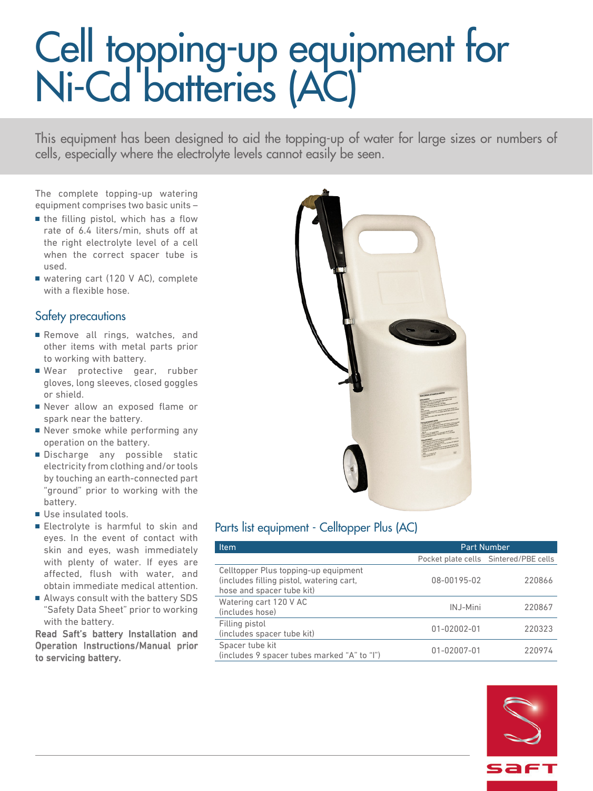# Cell topping-up equipment for Ni-Cd batteries (AC)

This equipment has been designed to aid the topping-up of water for large sizes or numbers of cells, especially where the electrolyte levels cannot easily be seen.

The complete topping-up watering equipment comprises two basic units –

- the filling pistol, which has a flow rate of 6.4 liters/min, shuts off at the right electrolyte level of a cell when the correct spacer tube is used.
- watering cart (120 V AC), complete with a flexible hose.

### Safety precautions

- Remove all rings, watches, and other items with metal parts prior to working with battery.
- Wear protective gear, rubber gloves, long sleeves, closed goggles or shield.
- Never allow an exposed flame or spark near the battery.
- Never smoke while performing any operation on the battery.
- Discharge any possible static electricity from clothing and/or tools by touching an earth-connected part "ground" prior to working with the battery.
- Use insulated tools.
- Electrolyte is harmful to skin and eyes. In the event of contact with skin and eyes, wash immediately with plenty of water. If eyes are affected, flush with water, and obtain immediate medical attention.
- Always consult with the battery SDS "Safety Data Sheet" prior to working with the battery.

Read Saft's battery Installation and Operation Instructions/Manual prior to servicing battery.



### Parts list equipment - Celltopper Plus (AC)

| <b>Item</b>                                                                                                   | <b>Part Number</b> |                                       |
|---------------------------------------------------------------------------------------------------------------|--------------------|---------------------------------------|
|                                                                                                               |                    | Pocket plate cells Sintered/PBE cells |
| Celltopper Plus topping-up equipment<br>(includes filling pistol, watering cart,<br>hose and spacer tube kit) | 08-00195-02        | 220866                                |
| Watering cart 120 V AC<br>(includes hose)                                                                     | INJ-Mini           | 220867                                |
| Filling pistol<br>(includes spacer tube kit)                                                                  | 01-02002-01        | 220323                                |
| Spacer tube kit<br>(includes 9 spacer tubes marked "A" to "I")                                                | 01-02007-01        | 220974                                |

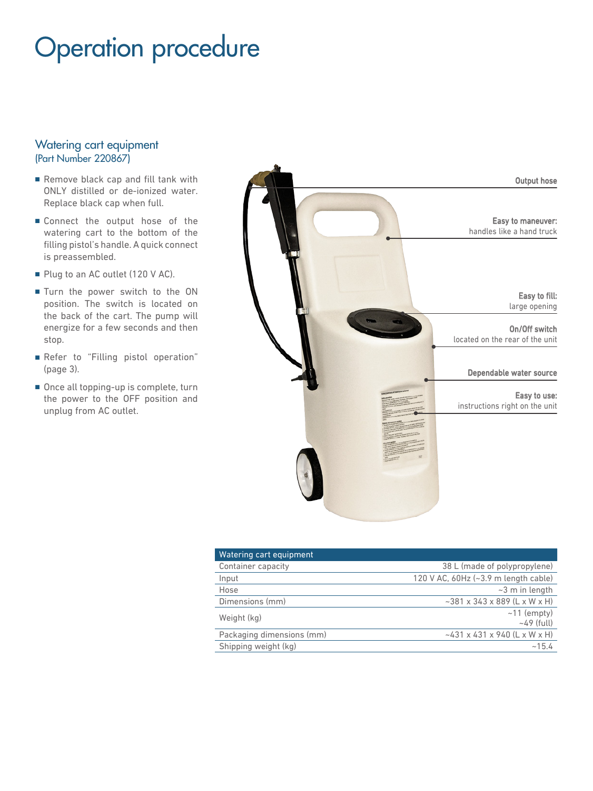### Operation procedure

#### Watering cart equipment (Part Number 220867)

- Remove black cap and fill tank with ONLY distilled or de-ionized water. Replace black cap when full.
- Connect the output hose of the watering cart to the bottom of the filling pistol's handle. A quick connect is preassembled.
- Plug to an AC outlet (120 V AC).
- Turn the power switch to the ON position. The switch is located on the back of the cart. The pump will energize for a few seconds and then stop.
- Refer to "Filling pistol operation" (page 3).
- Once all topping-up is complete, turn the power to the OFF position and unplug from AC outlet.



| Watering cart equipment   |                                               |
|---------------------------|-----------------------------------------------|
| Container capacity        | 38 L (made of polypropylene)                  |
| Input                     | 120 V AC, $60Hz$ ( $\sim$ 3.9 m length cable) |
| Hose                      | $\sim$ 3 m in length                          |
| Dimensions (mm)           | $~1$ ~381 x 343 x 889 (L x W x H)             |
| Weight (kg)               | $~11$ (empty)<br>$~149$ (full)                |
| Packaging dimensions (mm) | $\sim$ 431 x 431 x 940 (L x W x H)            |
| Shipping weight (kg)      | ~15.4                                         |
|                           |                                               |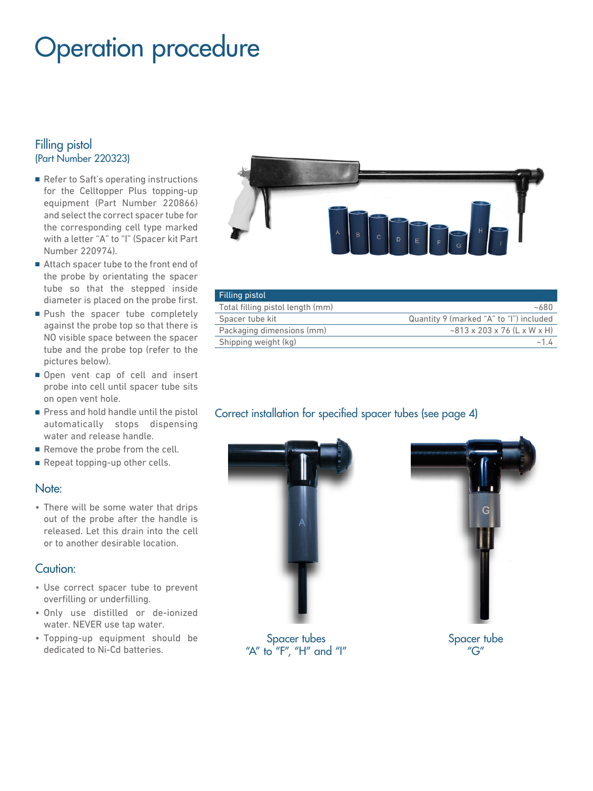### Operation procedure

#### Filling pistol (Part Number 220323)

- Refer to Saft's operating instructions for the Celltopper Plus topping-up equipment (Part Number 220866) and select the correct spacer tube for the corresponding cell type marked with a letter "A" to "I" (Spacer kit Part Number 220974).
- Attach spacer tube to the front end of the probe by orientating the spacer tube so that the stepped inside diameter is placed on the probe first.
- Push the spacer tube completely against the probe top so that there is NO visible space between the spacer tube and the probe top (refer to the pictures below).
- Open vent cap of cell and insert probe into cell until spacer tube sits on open vent hole.
- Press and hold handle until the pistol automatically stops dispensing water and release handle.
- Remove the probe from the cell.
- Repeat topping-up other cells.

#### Note:

• There will be some water that drips out of the probe after the handle is released. Let this drain into the cell or to another desirable location.

#### Caution:

- Use correct spacer tube to prevent overfilling or underfilling.
- Only use distilled or de-ionized water. NEVER use tap water.
- Topping-up equipment should be dedicated to Ni-Cd batteries.



| Filling pistol                   |                                         |
|----------------------------------|-----------------------------------------|
| Total filling pistol length (mm) | ~100                                    |
| Spacer tube kit                  | Quantity 9 (marked "A" to "I") included |
| Packaging dimensions (mm)        | $\sim$ 813 x 203 x 76 (L x W x H)       |
| Shipping weight (kg)             |                                         |

### Correct installation for specified spacer tubes (see page 4)



Spacer tubes "A" to "F", "H" and " $I$ "



Spacer tube "G"